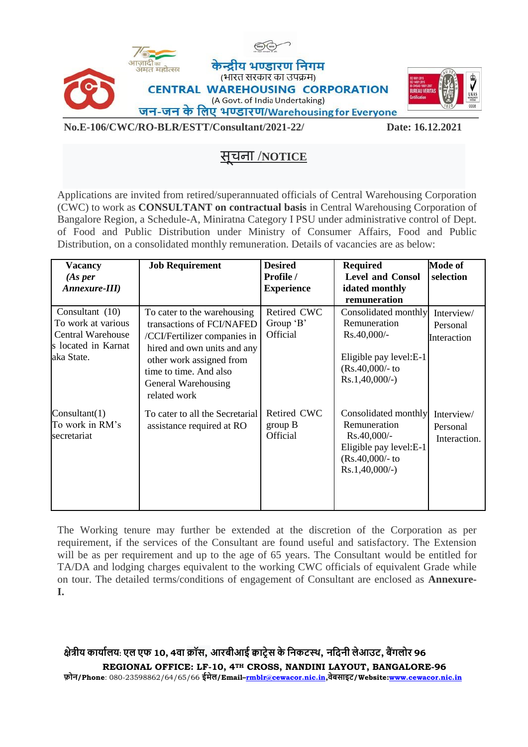



#### **No.E-106/CWC/RO-BLR/ESTT/Consultant/2021-22/ Date: 16.12.2021**

# सू चना /**NOTICE**

Applications are invited from retired/superannuated officials of Central Warehousing Corporation (CWC) to work as **CONSULTANT on contractual basis** in Central Warehousing Corporation of Bangalore Region, a Schedule-A, Miniratna Category I PSU under administrative control of Dept. of Food and Public Distribution under Ministry of Consumer Affairs, Food and Public Distribution, on a consolidated monthly remuneration. Details of vacancies are as below:

| <b>Vacancy</b><br>(As per<br>Annexure-III)                                                               | <b>Job Requirement</b>                                                                                                                                                                                               | <b>Desired</b><br>Profile /<br><b>Experience</b> | <b>Required</b><br><b>Level and Consol</b><br>idated monthly<br>remuneration                                                | <b>Mode of</b><br>selection            |
|----------------------------------------------------------------------------------------------------------|----------------------------------------------------------------------------------------------------------------------------------------------------------------------------------------------------------------------|--------------------------------------------------|-----------------------------------------------------------------------------------------------------------------------------|----------------------------------------|
| Consultant $(10)$<br>To work at various<br><b>Central Warehouse</b><br>s located in Karnat<br>aka State. | To cater to the warehousing<br>transactions of FCI/NAFED<br>/CCI/Fertilizer companies in<br>hired and own units and any<br>other work assigned from<br>time to time. And also<br>General Warehousing<br>related work | Retired CWC<br>Group 'B'<br>Official             | Consolidated monthly<br>Remuneration<br>Rs.40,000/-<br>Eligible pay level: E-1<br>$(Rs.40,000/- to$<br>$Rs.1,40,000/-$ )    | Interview/<br>Personal<br>Interaction  |
| Constant(1)<br>To work in RM's<br>secretariat                                                            | To cater to all the Secretarial<br>assistance required at RO                                                                                                                                                         | Retired CWC<br>group B<br>Official               | Consolidated monthly<br>Remuneration<br>$Rs.40,000/$ -<br>Eligible pay level: E-1<br>$(Rs.40,000/- to$<br>$Rs.1,40,000/-$ ) | Interview/<br>Personal<br>Interaction. |

The Working tenure may further be extended at the discretion of the Corporation as per requirement, if the services of the Consultant are found useful and satisfactory. The Extension will be as per requirement and up to the age of 65 years. The Consultant would be entitled for TA/DA and lodging charges equivalent to the working CWC officials of equivalent Grade while on tour. The detailed terms/conditions of engagement of Consultant are enclosed as **Annexure-I.**

### क्षेत्रीय कार्यालय: एल एफ 10, 4वा क्रॉस, आरबीआई क्वाट्रेस के निकटस्थ, नदिनी लेआउट, बैंगलोर 96

**REGIONAL OFFICE: LF-10, 4TH CROSS, NANDINI LAYOUT, BANGALORE-96 फ़ोि/Phone**: 080-23598862/64/65/66 **ईमेल/Email–[rmblr@cewacor.nic.in,](mailto:rmblr@cewacor.nic.in)वेबसाइट्/Website[:www.cewacor.nic.in](http://www.cewacor.nic.in/)**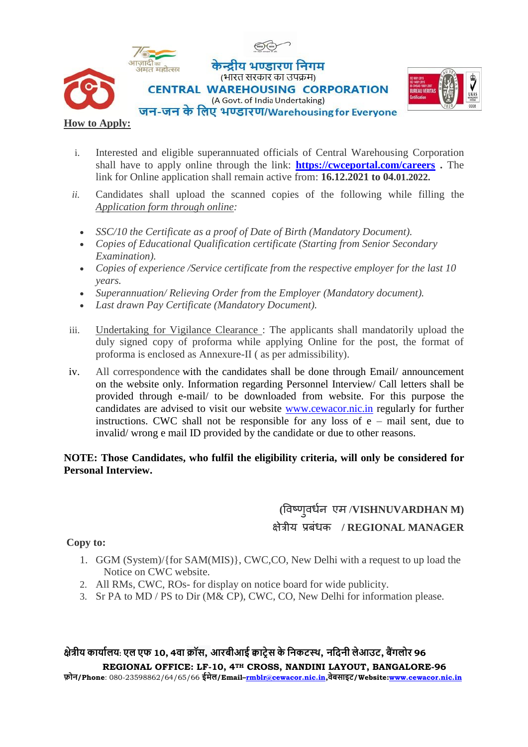



### **How to Apply:**

- i. Interested and eligible superannuated officials of Central Warehousing Corporation shall have to apply online through the link: **<https://cwceportal.com/careers> .** The link for Online application shall remain active from: **16.12.2021 to 04.01.2022.**
- *ii.* Candidates shall upload the scanned copies of the following while filling the *Application form through online:* 
	- *SSC/10 the Certificate as a proof of Date of Birth (Mandatory Document).*
	- *Copies of Educational Qualification certificate (Starting from Senior Secondary Examination).*
	- *Copies of experience /Service certificate from the respective employer for the last 10 years.*
	- *Superannuation/ Relieving Order from the Employer (Mandatory document).*
	- *Last drawn Pay Certificate (Mandatory Document).*
- iii. Undertaking for Vigilance Clearance : The applicants shall mandatorily upload the duly signed copy of proforma while applying Online for the post, the format of proforma is enclosed as Annexure-II ( as per admissibility).
- iv. All correspondence with the candidates shall be done through Email/ announcement on the website only. Information regarding Personnel Interview/ Call letters shall be provided through e-mail/ to be downloaded from website. For this purpose the candidates are advised to visit our website [www.cewacor.nic.in](http://www.cewacor.nic.in/) regularly for further instructions. CWC shall not be responsible for any loss of  $e$  – mail sent, due to invalid/ wrong e mail ID provided by the candidate or due to other reasons.

### **NOTE: Those Candidates, who fulfil the eligibility criteria, will only be considered for Personal Interview.**

## **(**विष्णुिर्नध एम /**VISHNUVARDHAN M)** क्षेत्रीय प्रबंर्क **/ REGIONAL MANAGER**

**Copy to:**

- 1. GGM (System)/{for SAM(MIS)}, CWC,CO, New Delhi with a request to up load the Notice on CWC website.
- 2. All RMs, CWC, ROs- for display on notice board for wide publicity.
- 3. Sr PA to MD / PS to Dir (M& CP), CWC, CO, New Delhi for information please.

### क्षेत्रीय कार्यालय: एल एफ 10, 4वा क्रॉस, आरबीआई क्वाटेस के निकटस्थ, नदिनी लेआउट, बैंगलोर 96

**REGIONAL OFFICE: LF-10, 4TH CROSS, NANDINI LAYOUT, BANGALORE-96 फ़ोि/Phone**: 080-23598862/64/65/66 **ईमेल/Email–[rmblr@cewacor.nic.in,](mailto:rmblr@cewacor.nic.in)वेबसाइट्/Website[:www.cewacor.nic.in](http://www.cewacor.nic.in/)**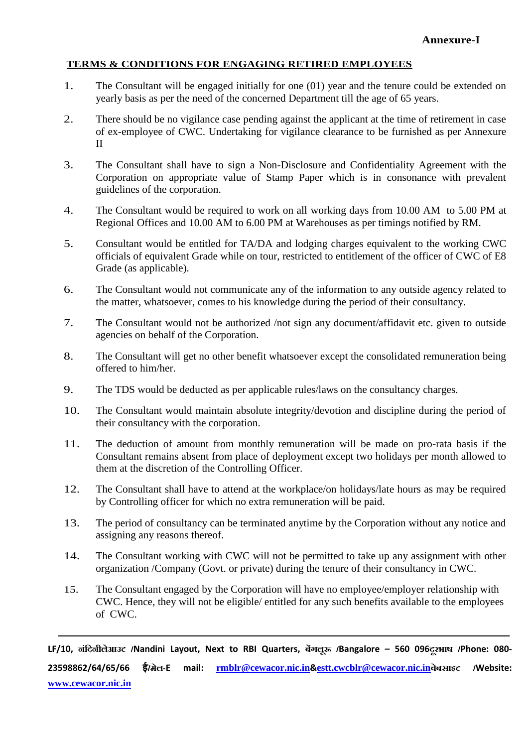### **TERMS & CONDITIONS FOR ENGAGING RETIRED EMPLOYEES**

- 1. The Consultant will be engaged initially for one (01) year and the tenure could be extended on yearly basis as per the need of the concerned Department till the age of 65 years.
- 2. There should be no vigilance case pending against the applicant at the time of retirement in case of ex-employee of CWC. Undertaking for vigilance clearance to be furnished as per Annexure II
- 3. The Consultant shall have to sign a Non-Disclosure and Confidentiality Agreement with the Corporation on appropriate value of Stamp Paper which is in consonance with prevalent guidelines of the corporation.
- 4. The Consultant would be required to work on all working days from 10.00 AM to 5.00 PM at Regional Offices and 10.00 AM to 6.00 PM at Warehouses as per timings notified by RM.
- 5. Consultant would be entitled for TA/DA and lodging charges equivalent to the working CWC officials of equivalent Grade while on tour, restricted to entitlement of the officer of CWC of E8 Grade (as applicable).
- 6. The Consultant would not communicate any of the information to any outside agency related to the matter, whatsoever, comes to his knowledge during the period of their consultancy.
- 7. The Consultant would not be authorized /not sign any document/affidavit etc. given to outside agencies on behalf of the Corporation.
- 8. The Consultant will get no other benefit whatsoever except the consolidated remuneration being offered to him/her.
- 9. The TDS would be deducted as per applicable rules/laws on the consultancy charges.
- 10. The Consultant would maintain absolute integrity/devotion and discipline during the period of their consultancy with the corporation.
- 11. The deduction of amount from monthly remuneration will be made on pro-rata basis if the Consultant remains absent from place of deployment except two holidays per month allowed to them at the discretion of the Controlling Officer.
- 12. The Consultant shall have to attend at the workplace/on holidays/late hours as may be required by Controlling officer for which no extra remuneration will be paid.
- 13. The period of consultancy can be terminated anytime by the Corporation without any notice and assigning any reasons thereof.
- 14. The Consultant working with CWC will not be permitted to take up any assignment with other organization /Company (Govt. or private) during the tenure of their consultancy in CWC.
- 15. The Consultant engaged by the Corporation will have no employee/employer relationship with CWC. Hence, they will not be eligible/ entitled for any such benefits available to the employees of CWC.

**LF/10, नंदिनीलआे उट /Nandini Layout, Next to RBI Quarters, बगें लूरू /Bangalore – 560 096िूरभाष /Phone: 080- 23598862/64/65/66 ई/मले -E mail: [rmblr@cewacor.nic.in](mailto:rmblr@cewacor.nic.in)&[estt.cwcblr@cewacor.nic.in](mailto:estt.cwcblr@cewacor.nic.in)वबेसाइट /Website: [www.cewacor.nic.in](http://www.cewacor.nic.in/)**